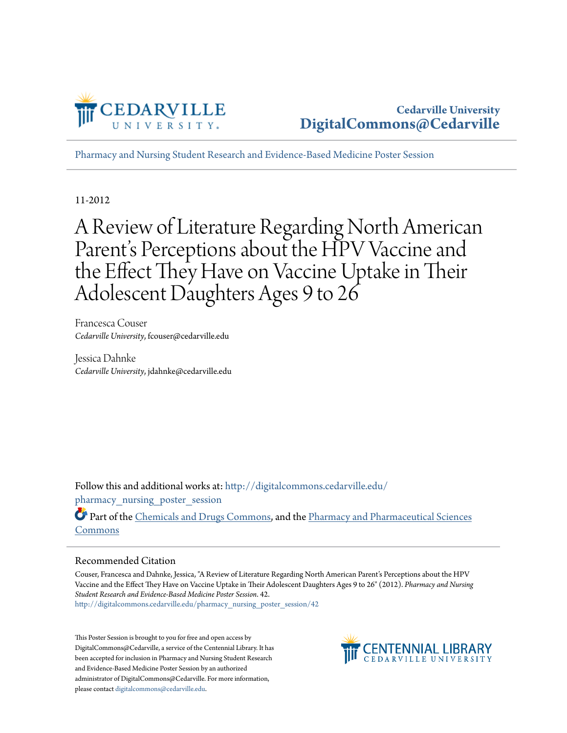

[Pharmacy and Nursing Student Research and Evidence-Based Medicine Poster Session](http://digitalcommons.cedarville.edu/pharmacy_nursing_poster_session?utm_source=digitalcommons.cedarville.edu%2Fpharmacy_nursing_poster_session%2F42&utm_medium=PDF&utm_campaign=PDFCoverPages)

11-2012

A Review of Literature Regarding North American Parent's Perceptions about the HPV Vaccine and the Effect They Have on Vaccine Uptake in Their Adolescent Daughters Ages 9 to 26

Francesca Couser *Cedarville University*, fcouser@cedarville.edu

Jessica Dahnke *Cedarville University*, jdahnke@cedarville.edu

Follow this and additional works at: [http://digitalcommons.cedarville.edu/](http://digitalcommons.cedarville.edu/pharmacy_nursing_poster_session?utm_source=digitalcommons.cedarville.edu%2Fpharmacy_nursing_poster_session%2F42&utm_medium=PDF&utm_campaign=PDFCoverPages) pharmacy nursing poster session

Part of the [Chemicals and Drugs Commons,](http://network.bepress.com/hgg/discipline/902?utm_source=digitalcommons.cedarville.edu%2Fpharmacy_nursing_poster_session%2F42&utm_medium=PDF&utm_campaign=PDFCoverPages) and the [Pharmacy and Pharmaceutical Sciences](http://network.bepress.com/hgg/discipline/731?utm_source=digitalcommons.cedarville.edu%2Fpharmacy_nursing_poster_session%2F42&utm_medium=PDF&utm_campaign=PDFCoverPages) [Commons](http://network.bepress.com/hgg/discipline/731?utm_source=digitalcommons.cedarville.edu%2Fpharmacy_nursing_poster_session%2F42&utm_medium=PDF&utm_campaign=PDFCoverPages)

#### Recommended Citation

Couser, Francesca and Dahnke, Jessica, "A Review of Literature Regarding North American Parent's Perceptions about the HPV Vaccine and the Effect They Have on Vaccine Uptake in Their Adolescent Daughters Ages 9 to 26" (2012). *Pharmacy and Nursing Student Research and Evidence-Based Medicine Poster Session*. 42. [http://digitalcommons.cedarville.edu/pharmacy\\_nursing\\_poster\\_session/42](http://digitalcommons.cedarville.edu/pharmacy_nursing_poster_session/42?utm_source=digitalcommons.cedarville.edu%2Fpharmacy_nursing_poster_session%2F42&utm_medium=PDF&utm_campaign=PDFCoverPages)

This Poster Session is brought to you for free and open access by DigitalCommons@Cedarville, a service of the Centennial Library. It has been accepted for inclusion in Pharmacy and Nursing Student Research and Evidence-Based Medicine Poster Session by an authorized administrator of DigitalCommons@Cedarville. For more information, please contact [digitalcommons@cedarville.edu.](mailto:digitalcommons@cedarville.edu)